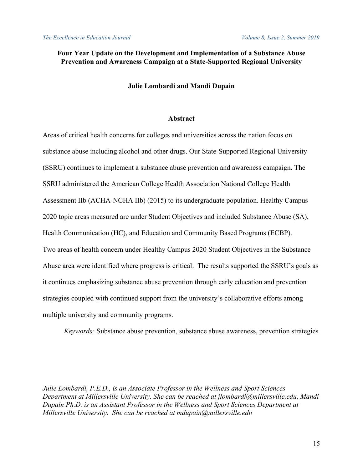# **Four Year Update on the Development and Implementation of a Substance Abuse Prevention and Awareness Campaign at a State-Supported Regional University**

#### **Julie Lombardi and Mandi Dupain**

### **Abstract**

Areas of critical health concerns for colleges and universities across the nation focus on substance abuse including alcohol and other drugs. Our State-Supported Regional University (SSRU) continues to implement a substance abuse prevention and awareness campaign. The SSRU administered the American College Health Association National College Health Assessment IIb (ACHA-NCHA IIb) (2015) to its undergraduate population. Healthy Campus 2020 topic areas measured are under Student Objectives and included Substance Abuse (SA), Health Communication (HC), and Education and Community Based Programs (ECBP). Two areas of health concern under Healthy Campus 2020 Student Objectives in the Substance Abuse area were identified where progress is critical. The results supported the SSRU's goals as it continues emphasizing substance abuse prevention through early education and prevention strategies coupled with continued support from the university's collaborative efforts among multiple university and community programs.

*Keywords:* Substance abuse prevention, substance abuse awareness, prevention strategies

*Julie Lombardi, P.E.D., is an Associate Professor in the Wellness and Sport Sciences Department at Millersville University. She can be reached at jlombardi@millersville.edu. Mandi Dupain Ph.D. is an Assistant Professor in the Wellness and Sport Sciences Department at Millersville University. She can be reached at mdupain@millersville.edu*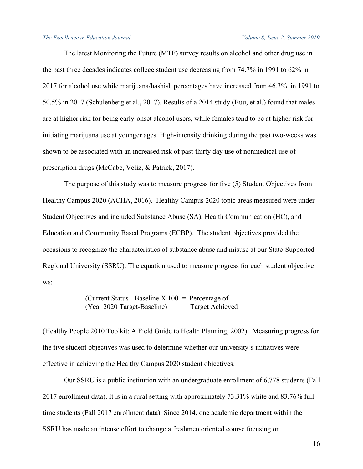The latest Monitoring the Future (MTF) survey results on alcohol and other drug use in the past three decades indicates college student use decreasing from 74.7% in 1991 to 62% in 2017 for alcohol use while marijuana/hashish percentages have increased from 46.3% in 1991 to 50.5% in 2017 (Schulenberg et al., 2017). Results of a 2014 study (Buu, et al.) found that males are at higher risk for being early-onset alcohol users, while females tend to be at higher risk for initiating marijuana use at younger ages. High-intensity drinking during the past two-weeks was shown to be associated with an increased risk of past-thirty day use of nonmedical use of prescription drugs (McCabe, Veliz, & Patrick, 2017).

The purpose of this study was to measure progress for five (5) Student Objectives from Healthy Campus 2020 (ACHA, 2016). Healthy Campus 2020 topic areas measured were under Student Objectives and included Substance Abuse (SA), Health Communication (HC), and Education and Community Based Programs (ECBP). The student objectives provided the occasions to recognize the characteristics of substance abuse and misuse at our State-Supported Regional University (SSRU). The equation used to measure progress for each student objective ws:

> (Current Status - Baseline  $X$  100 = Percentage of (Year 2020 Target-Baseline) Target Achieved

(Healthy People 2010 Toolkit: A Field Guide to Health Planning, 2002). Measuring progress for the five student objectives was used to determine whether our university's initiatives were effective in achieving the Healthy Campus 2020 student objectives.

Our SSRU is a public institution with an undergraduate enrollment of 6,778 students (Fall 2017 enrollment data). It is in a rural setting with approximately 73.31% white and 83.76% fulltime students (Fall 2017 enrollment data). Since 2014, one academic department within the SSRU has made an intense effort to change a freshmen oriented course focusing on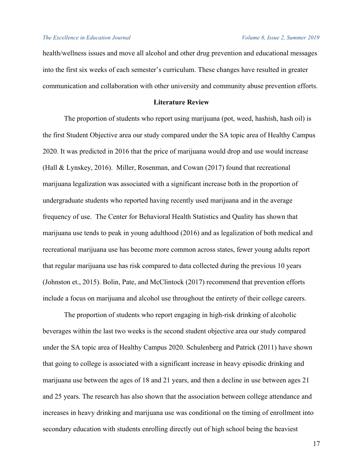health/wellness issues and move all alcohol and other drug prevention and educational messages into the first six weeks of each semester's curriculum. These changes have resulted in greater communication and collaboration with other university and community abuse prevention efforts.

## **Literature Review**

The proportion of students who report using marijuana (pot, weed, hashish, hash oil) is the first Student Objective area our study compared under the SA topic area of Healthy Campus 2020. It was predicted in 2016 that the price of marijuana would drop and use would increase (Hall & Lynskey, 2016). Miller, Rosenman, and Cowan (2017) found that recreational marijuana legalization was associated with a significant increase both in the proportion of undergraduate students who reported having recently used marijuana and in the average frequency of use. The Center for Behavioral Health Statistics and Quality has shown that marijuana use tends to peak in young adulthood (2016) and as legalization of both medical and recreational marijuana use has become more common across states, fewer young adults report that regular marijuana use has risk compared to data collected during the previous 10 years (Johnston et., 2015). Bolin, Pate, and McClintock (2017) recommend that prevention efforts include a focus on marijuana and alcohol use throughout the entirety of their college careers.

The proportion of students who report engaging in high-risk drinking of alcoholic beverages within the last two weeks is the second student objective area our study compared under the SA topic area of Healthy Campus 2020. Schulenberg and Patrick (2011) have shown that going to college is associated with a significant increase in heavy episodic drinking and marijuana use between the ages of 18 and 21 years, and then a decline in use between ages 21 and 25 years. The research has also shown that the association between college attendance and increases in heavy drinking and marijuana use was conditional on the timing of enrollment into secondary education with students enrolling directly out of high school being the heaviest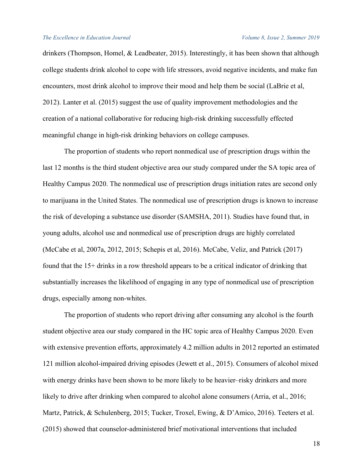drinkers (Thompson, Homel, & Leadbeater, 2015). Interestingly, it has been shown that although college students drink alcohol to cope with life stressors, avoid negative incidents, and make fun encounters, most drink alcohol to improve their mood and help them be social (LaBrie et al, 2012). Lanter et al. (2015) suggest the use of quality improvement methodologies and the creation of a national collaborative for reducing high-risk drinking successfully effected meaningful change in high-risk drinking behaviors on college campuses.

The proportion of students who report nonmedical use of prescription drugs within the last 12 months is the third student objective area our study compared under the SA topic area of Healthy Campus 2020. The nonmedical use of prescription drugs initiation rates are second only to marijuana in the United States. The nonmedical use of prescription drugs is known to increase the risk of developing a substance use disorder (SAMSHA, 2011). Studies have found that, in young adults, alcohol use and nonmedical use of prescription drugs are highly correlated (McCabe et al, 2007a, 2012, 2015; Schepis et al, 2016). McCabe, Veliz, and Patrick (2017) found that the 15+ drinks in a row threshold appears to be a critical indicator of drinking that substantially increases the likelihood of engaging in any type of nonmedical use of prescription drugs, especially among non-whites.

The proportion of students who report driving after consuming any alcohol is the fourth student objective area our study compared in the HC topic area of Healthy Campus 2020. Even with extensive prevention efforts, approximately 4.2 million adults in 2012 reported an estimated 121 million alcohol-impaired driving episodes (Jewett et al., 2015). Consumers of alcohol mixed with energy drinks have been shown to be more likely to be heavier–risky drinkers and more likely to drive after drinking when compared to alcohol alone consumers (Arria, et al., 2016; Martz, Patrick, & Schulenberg, 2015; Tucker, Troxel, Ewing, & D'Amico, 2016). Teeters et al. (2015) showed that counselor-administered brief motivational interventions that included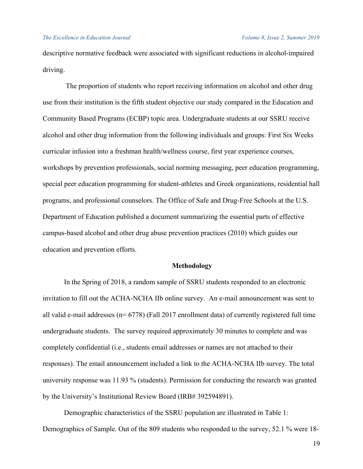descriptive normative feedback were associated with significant reductions in alcohol-impaired driving.

The proportion of students who report receiving information on alcohol and other drug use from their institution is the fifth student objective our study compared in the Education and Community Based Programs (ECBP) topic area. Undergraduate students at our SSRU receive alcohol and other drug information from the following individuals and groups: First Six Weeks curricular infusion into a freshman health/wellness course, first year experience courses, workshops by prevention professionals, social norming messaging, peer education programming, special peer education programming for student-athletes and Greek organizations, residential hall programs, and professional counselors. The Office of Safe and Drug-Free Schools at the U.S. Department of Education published a document summarizing the essential parts of effective campus-based alcohol and other drug abuse prevention practices (2010) which guides our education and prevention efforts.

#### **Methodology**

In the Spring of 2018, a random sample of SSRU students responded to an electronic invitation to fill out the ACHA-NCHA IIb online survey. An e-mail announcement was sent to all valid e-mail addresses ( $n= 6778$ ) (Fall 2017 enrollment data) of currently registered full time undergraduate students. The survey required approximately 30 minutes to complete and was completely confidential (i.e., students email addresses or names are not attached to their responses). The email announcement included a link to the ACHA-NCHA IIb survey. The total university response was 11.93 % (students). Permission for conducting the research was granted by the University's Institutional Review Board (IRB# 392594891).

Demographic characteristics of the SSRU population are illustrated in Table 1: Demographics of Sample. Out of the 809 students who responded to the survey, 52.1 % were 18-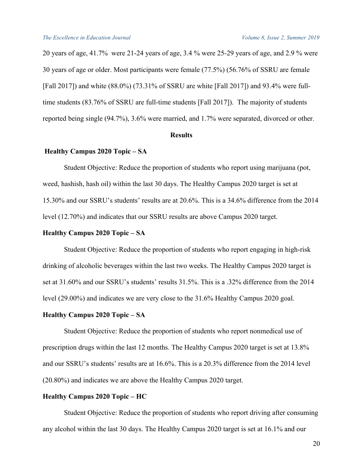20 years of age, 41.7% were 21-24 years of age, 3.4 % were 25-29 years of age, and 2.9 % were 30 years of age or older. Most participants were female (77.5%) (56.76% of SSRU are female [Fall 2017]) and white (88.0%) (73.31% of SSRU are white [Fall 2017]) and 93.4% were fulltime students (83.76% of SSRU are full-time students [Fall 2017]). The majority of students reported being single (94.7%), 3.6% were married, and 1.7% were separated, divorced or other.

### **Results**

### **Healthy Campus 2020 Topic – SA**

Student Objective: Reduce the proportion of students who report using marijuana (pot, weed, hashish, hash oil) within the last 30 days. The Healthy Campus 2020 target is set at 15.30% and our SSRU's students' results are at 20.6%. This is a 34.6% difference from the 2014 level (12.70%) and indicates that our SSRU results are above Campus 2020 target.

#### **Healthy Campus 2020 Topic – SA**

Student Objective: Reduce the proportion of students who report engaging in high-risk drinking of alcoholic beverages within the last two weeks. The Healthy Campus 2020 target is set at 31.60% and our SSRU's students' results 31.5%. This is a .32% difference from the 2014 level (29.00%) and indicates we are very close to the 31.6% Healthy Campus 2020 goal.

#### **Healthy Campus 2020 Topic – SA**

Student Objective: Reduce the proportion of students who report nonmedical use of prescription drugs within the last 12 months. The Healthy Campus 2020 target is set at 13.8% and our SSRU's students' results are at 16.6%. This is a 20.3% difference from the 2014 level (20.80%) and indicates we are above the Healthy Campus 2020 target.

#### **Healthy Campus 2020 Topic – HC**

Student Objective: Reduce the proportion of students who report driving after consuming any alcohol within the last 30 days. The Healthy Campus 2020 target is set at 16.1% and our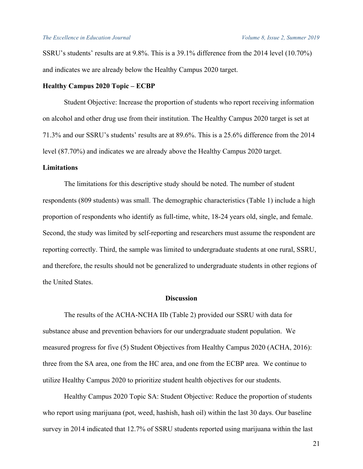SSRU's students' results are at 9.8%. This is a 39.1% difference from the 2014 level (10.70%) and indicates we are already below the Healthy Campus 2020 target.

#### **Healthy Campus 2020 Topic – ECBP**

Student Objective: Increase the proportion of students who report receiving information on alcohol and other drug use from their institution. The Healthy Campus 2020 target is set at 71.3% and our SSRU's students' results are at 89.6%. This is a 25.6% difference from the 2014 level (87.70%) and indicates we are already above the Healthy Campus 2020 target.

#### **Limitations**

The limitations for this descriptive study should be noted. The number of student respondents (809 students) was small. The demographic characteristics (Table 1) include a high proportion of respondents who identify as full-time, white, 18-24 years old, single, and female. Second, the study was limited by self-reporting and researchers must assume the respondent are reporting correctly. Third, the sample was limited to undergraduate students at one rural, SSRU, and therefore, the results should not be generalized to undergraduate students in other regions of the United States.

#### **Discussion**

The results of the ACHA-NCHA IIb (Table 2) provided our SSRU with data for substance abuse and prevention behaviors for our undergraduate student population. We measured progress for five (5) Student Objectives from Healthy Campus 2020 (ACHA, 2016): three from the SA area, one from the HC area, and one from the ECBP area. We continue to utilize Healthy Campus 2020 to prioritize student health objectives for our students.

Healthy Campus 2020 Topic SA: Student Objective: Reduce the proportion of students who report using marijuana (pot, weed, hashish, hash oil) within the last 30 days. Our baseline survey in 2014 indicated that 12.7% of SSRU students reported using marijuana within the last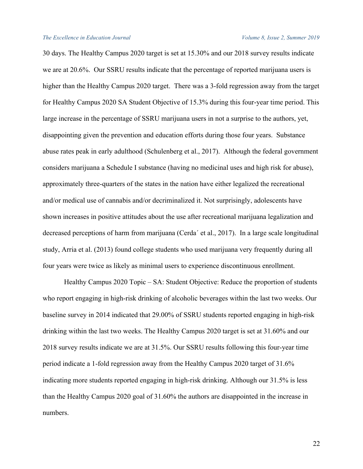30 days. The Healthy Campus 2020 target is set at 15.30% and our 2018 survey results indicate we are at 20.6%. Our SSRU results indicate that the percentage of reported marijuana users is higher than the Healthy Campus 2020 target. There was a 3-fold regression away from the target for Healthy Campus 2020 SA Student Objective of 15.3% during this four-year time period. This large increase in the percentage of SSRU marijuana users in not a surprise to the authors, yet, disappointing given the prevention and education efforts during those four years. Substance abuse rates peak in early adulthood (Schulenberg et al., 2017). Although the federal government considers marijuana a Schedule I substance (having no medicinal uses and high risk for abuse), approximately three-quarters of the states in the nation have either legalized the recreational and/or medical use of cannabis and/or decriminalized it. Not surprisingly, adolescents have shown increases in positive attitudes about the use after recreational marijuana legalization and decreased perceptions of harm from marijuana (Cerda´ et al., 2017). In a large scale longitudinal study, Arria et al. (2013) found college students who used marijuana very frequently during all four years were twice as likely as minimal users to experience discontinuous enrollment.

Healthy Campus 2020 Topic – SA: Student Objective: Reduce the proportion of students who report engaging in high-risk drinking of alcoholic beverages within the last two weeks. Our baseline survey in 2014 indicated that 29.00% of SSRU students reported engaging in high-risk drinking within the last two weeks. The Healthy Campus 2020 target is set at 31.60% and our 2018 survey results indicate we are at 31.5%. Our SSRU results following this four-year time period indicate a 1-fold regression away from the Healthy Campus 2020 target of 31.6% indicating more students reported engaging in high-risk drinking. Although our 31.5% is less than the Healthy Campus 2020 goal of 31.60% the authors are disappointed in the increase in numbers.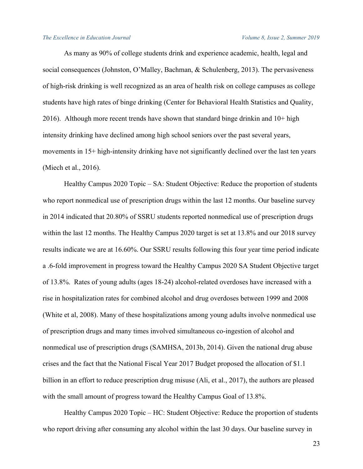As many as 90% of college students drink and experience academic, health, legal and social consequences (Johnston, O'Malley, Bachman, & Schulenberg, 2013). The pervasiveness of high-risk drinking is well recognized as an area of health risk on college campuses as college students have high rates of binge drinking (Center for Behavioral Health Statistics and Quality, 2016). Although more recent trends have shown that standard binge drinkin and 10+ high intensity drinking have declined among high school seniors over the past several years, movements in 15+ high-intensity drinking have not significantly declined over the last ten years (Miech et al., 2016).

Healthy Campus 2020 Topic – SA: Student Objective: Reduce the proportion of students who report nonmedical use of prescription drugs within the last 12 months. Our baseline survey in 2014 indicated that 20.80% of SSRU students reported nonmedical use of prescription drugs within the last 12 months. The Healthy Campus 2020 target is set at 13.8% and our 2018 survey results indicate we are at 16.60%. Our SSRU results following this four year time period indicate a .6-fold improvement in progress toward the Healthy Campus 2020 SA Student Objective target of 13.8%. Rates of young adults (ages 18-24) alcohol-related overdoses have increased with a rise in hospitalization rates for combined alcohol and drug overdoses between 1999 and 2008 (White et al, 2008). Many of these hospitalizations among young adults involve nonmedical use of prescription drugs and many times involved simultaneous co-ingestion of alcohol and nonmedical use of prescription drugs (SAMHSA, 2013b, 2014). Given the national drug abuse crises and the fact that the National Fiscal Year 2017 Budget proposed the allocation of \$1.1 billion in an effort to reduce prescription drug misuse (Ali, et al., 2017), the authors are pleased with the small amount of progress toward the Healthy Campus Goal of 13.8%.

Healthy Campus 2020 Topic – HC: Student Objective: Reduce the proportion of students who report driving after consuming any alcohol within the last 30 days. Our baseline survey in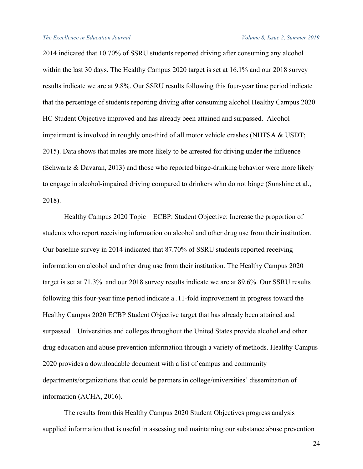2014 indicated that 10.70% of SSRU students reported driving after consuming any alcohol within the last 30 days. The Healthy Campus 2020 target is set at 16.1% and our 2018 survey results indicate we are at 9.8%. Our SSRU results following this four-year time period indicate that the percentage of students reporting driving after consuming alcohol Healthy Campus 2020 HC Student Objective improved and has already been attained and surpassed. Alcohol impairment is involved in roughly one-third of all motor vehicle crashes (NHTSA & USDT; 2015). Data shows that males are more likely to be arrested for driving under the influence (Schwartz & Davaran, 2013) and those who reported binge-drinking behavior were more likely to engage in alcohol-impaired driving compared to drinkers who do not binge (Sunshine et al., 2018).

Healthy Campus 2020 Topic – ECBP: Student Objective: Increase the proportion of students who report receiving information on alcohol and other drug use from their institution. Our baseline survey in 2014 indicated that 87.70% of SSRU students reported receiving information on alcohol and other drug use from their institution. The Healthy Campus 2020 target is set at 71.3%. and our 2018 survey results indicate we are at 89.6%. Our SSRU results following this four-year time period indicate a .11-fold improvement in progress toward the Healthy Campus 2020 ECBP Student Objective target that has already been attained and surpassed. Universities and colleges throughout the United States provide alcohol and other drug education and abuse prevention information through a variety of methods. Healthy Campus 2020 provides a downloadable document with a list of campus and community departments/organizations that could be partners in college/universities' dissemination of information (ACHA, 2016).

The results from this Healthy Campus 2020 Student Objectives progress analysis supplied information that is useful in assessing and maintaining our substance abuse prevention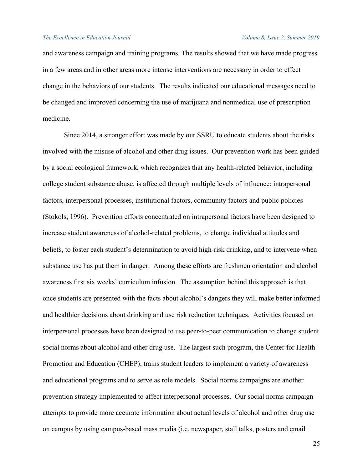and awareness campaign and training programs. The results showed that we have made progress in a few areas and in other areas more intense interventions are necessary in order to effect change in the behaviors of our students. The results indicated our educational messages need to be changed and improved concerning the use of marijuana and nonmedical use of prescription medicine.

Since 2014, a stronger effort was made by our SSRU to educate students about the risks involved with the misuse of alcohol and other drug issues. Our prevention work has been guided by a social ecological framework, which recognizes that any health-related behavior, including college student substance abuse, is affected through multiple levels of influence: intrapersonal factors, interpersonal processes, institutional factors, community factors and public policies (Stokols, 1996). Prevention efforts concentrated on intrapersonal factors have been designed to increase student awareness of alcohol-related problems, to change individual attitudes and beliefs, to foster each student's determination to avoid high-risk drinking, and to intervene when substance use has put them in danger. Among these efforts are freshmen orientation and alcohol awareness first six weeks' curriculum infusion. The assumption behind this approach is that once students are presented with the facts about alcohol's dangers they will make better informed and healthier decisions about drinking and use risk reduction techniques. Activities focused on interpersonal processes have been designed to use peer-to-peer communication to change student social norms about alcohol and other drug use. The largest such program, the Center for Health Promotion and Education (CHEP), trains student leaders to implement a variety of awareness and educational programs and to serve as role models. Social norms campaigns are another prevention strategy implemented to affect interpersonal processes. Our social norms campaign attempts to provide more accurate information about actual levels of alcohol and other drug use on campus by using campus-based mass media (i.e. newspaper, stall talks, posters and email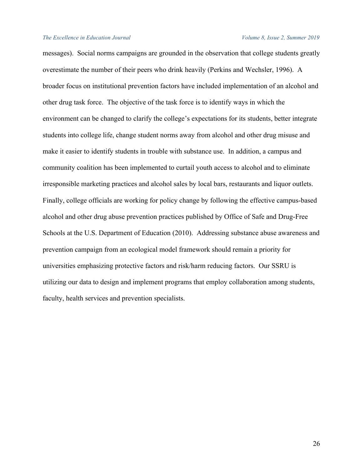messages). Social norms campaigns are grounded in the observation that college students greatly overestimate the number of their peers who drink heavily (Perkins and Wechsler, 1996). A broader focus on institutional prevention factors have included implementation of an alcohol and other drug task force. The objective of the task force is to identify ways in which the environment can be changed to clarify the college's expectations for its students, better integrate students into college life, change student norms away from alcohol and other drug misuse and make it easier to identify students in trouble with substance use. In addition, a campus and community coalition has been implemented to curtail youth access to alcohol and to eliminate irresponsible marketing practices and alcohol sales by local bars, restaurants and liquor outlets. Finally, college officials are working for policy change by following the effective campus-based alcohol and other drug abuse prevention practices published by Office of Safe and Drug-Free Schools at the U.S. Department of Education (2010). Addressing substance abuse awareness and prevention campaign from an ecological model framework should remain a priority for universities emphasizing protective factors and risk/harm reducing factors. Our SSRU is utilizing our data to design and implement programs that employ collaboration among students, faculty, health services and prevention specialists.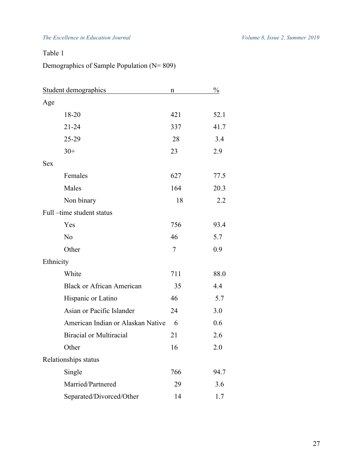# Table 1

# Demographics of Sample Population (N= 809)

| Student demographics              | n   | $\frac{0}{2}$ |
|-----------------------------------|-----|---------------|
| Age                               |     |               |
| 18-20                             | 421 | 52.1          |
| $21 - 24$                         | 337 | 41.7          |
| 25-29                             | 28  | 3.4           |
| $30+$                             | 23  | 2.9           |
| <b>Sex</b>                        |     |               |
| Females                           | 627 | 77.5          |
| Males                             | 164 | 20.3          |
| Non binary                        | 18  | 2.2           |
| Full-time student status          |     |               |
| Yes                               | 756 | 93.4          |
| N <sub>o</sub>                    | 46  | 5.7           |
| Other                             | 7   | 0.9           |
| Ethnicity                         |     |               |
| White                             | 711 | 88.0          |
| <b>Black or African American</b>  | 35  | 4.4           |
| Hispanic or Latino                | 46  | 5.7           |
| Asian or Pacific Islander         | 24  | 3.0           |
| American Indian or Alaskan Native | 6   | 0.6           |
| <b>Biracial or Multiracial</b>    | 21  | 2.6           |
| Other                             | 16  | 2.0           |
| Relationships status              |     |               |
| Single                            | 766 | 94.7          |
| Married/Partnered                 | 29  | 3.6           |
| Separated/Divorced/Other          | 14  | 1.7           |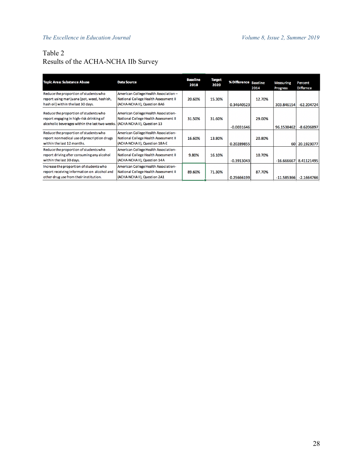# Table 2 Results of the ACHA-NCHA IIb Survey

| <b>Topic Area: Substance Abuse</b>                                                                                                                             | <b>Data Source</b>                                                                                             | <b>Baseline</b><br>2018 | <b>Target</b><br>2020 | % Difference Baseline | 2014   | <b>Measuring</b><br><b>Progress</b> | Percent<br><b>Differnce</b> |
|----------------------------------------------------------------------------------------------------------------------------------------------------------------|----------------------------------------------------------------------------------------------------------------|-------------------------|-----------------------|-----------------------|--------|-------------------------------------|-----------------------------|
| Reduce the proportion of students who<br>report using marijuana (pot, weed, hashish,<br>hash oil) within the last 30 days.                                     | American College Health Association-<br>National College Health Assessment II<br>(ACHA-NCHA II), Question 8A6  | 20.60%                  | 15.30%                | 0.34640523            | 12.70% | 303.846154                          | $-62.204724$                |
| Reduce the proportion of students who<br>report engaging in high-risk drinking of<br>alcoholic beverages within the last two weeks. (ACHA-NCHAII), Question 13 | American College Health Association-<br>National College Health Assessment II                                  | 31.50%                  | 31.60%                | $-0.0031646$          | 29.00% | 96.1538462                          | $-8.6206897$                |
| Reduce the proportion of students who<br>report nonmedical use of prescription drugs<br>within the last 12 months.                                             | American College Health Association-<br>National College Health Assessment II<br>(ACHA-NCHAII), Question 18A-E | 16.60%                  | 13.80%                | 0.20289855            | 20.80% | 60 l                                | 20.1923077                  |
| Reduce the proportion of students who<br>report driving after consuming any alcohol<br>within the last 30 days.                                                | American College Health Association-<br>National College Health Assessment II<br>(ACHA-NCHAII), Question 14A   | 9.80%                   | 16.10%                | $-0.3913043$          | 10.70% | $-16.666667$                        | 8.41121495                  |
| Increase the proportion of students who<br>report receiving information on alcohol and<br>other drug use from their institution.                               | American College Health Association-<br>National College Health Assessment II<br>(ACHA-NCHA II), Question 2A1  | 89.60%                  | 71.30%                | 0.25666199            | 87.70% | $-11.585366$                        | $-2.1664766$                |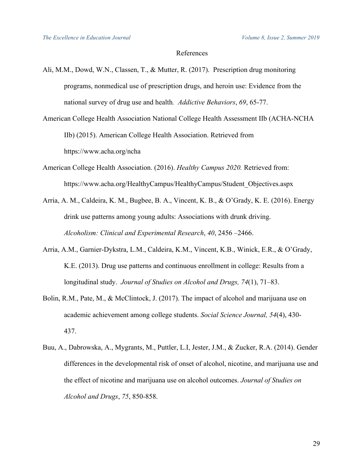## References

- Ali, M.M., Dowd, W.N., Classen, T., & Mutter, R. (2017). Prescription drug monitoring programs, nonmedical use of prescription drugs, and heroin use: Evidence from the national survey of drug use and health*. Addictive Behaviors*, *69*, 65-77.
- American College Health Association National College Health Assessment IIb (ACHA-NCHA IIb) (2015). American College Health Association. Retrieved from https://www.acha.org/ncha
- American College Health Association. (2016). *Healthy Campus 2020.* Retrieved from: https://www.acha.org/HealthyCampus/HealthyCampus/Student\_Objectives.aspx
- Arria, A. M., Caldeira, K. M., Bugbee, B. A., Vincent, K. B., & O'Grady, K. E. (2016). Energy drink use patterns among young adults: Associations with drunk driving. *Alcoholism: Clinical and Experimental Research*, *40*, 2456 –2466.
- Arria, A.M., Garnier-Dykstra, L.M., Caldeira, K.M., Vincent, K.B., Winick, E.R., & O'Grady, K.E. (2013). Drug use patterns and continuous enrollment in college: Results from a longitudinal study. *Journal of Studies on Alcohol and Drugs, 74*(1), 71–83.
- Bolin, R.M., Pate, M., & McClintock, J. (2017). The impact of alcohol and marijuana use on academic achievement among college students. *Social Science Journal, 54*(4), 430- 437.
- Buu, A., Dabrowska, A., Mygrants, M., Puttler, L.I, Jester, J.M., & Zucker, R.A. (2014). Gender differences in the developmental risk of onset of alcohol, nicotine, and marijuana use and the effect of nicotine and marijuana use on alcohol outcomes. *Journal of Studies on Alcohol and Drugs*, *75*, 850-858.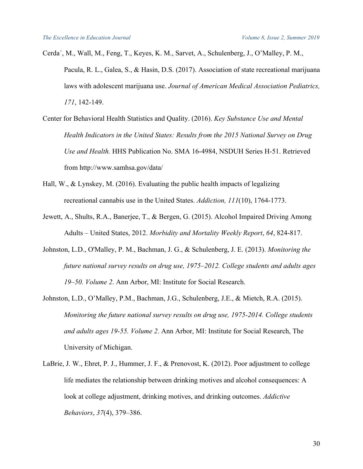- Cerda´, M., Wall, M., Feng, T., Keyes, K. M., Sarvet, A., Schulenberg, J., O'Malley, P. M., Pacula, R. L., Galea, S., & Hasin, D.S. (2017). Association of state recreational marijuana laws with adolescent marijuana use. *Journal of American Medical Association Pediatrics, 171*, 142-149.
- Center for Behavioral Health Statistics and Quality. (2016). *Key Substance Use and Mental Health Indicators in the United States: Results from the 2015 National Survey on Drug Use and Health.* HHS Publication No. SMA 16-4984, NSDUH Series H-51. Retrieved from http://www.samhsa.gov/data/
- Hall, W., & Lynskey, M. (2016). Evaluating the public health impacts of legalizing recreational cannabis use in the United States. *Addiction, 111*(10), 1764-1773.
- Jewett, A., Shults, R.A., Banerjee, T., & Bergen, G. (2015). Alcohol Impaired Driving Among Adults – United States, 2012. *Morbidity and Mortality Weekly Report*, *64*, 824-817.
- Johnston, L.D., O'Malley, P. M., Bachman, J. G., & Schulenberg, J. E. (2013). *Monitoring the future national survey results on drug use, 1975–2012. College students and adults ages 19–50. Volume 2*. Ann Arbor, MI: Institute for Social Research.
- Johnston, L.D., O'Malley, P.M., Bachman, J.G., Schulenberg, J.E., & Mietch, R.A. (2015). *Monitoring the future national survey results on drug use, 1975-2014. College students and adults ages 19-55. Volume 2*. Ann Arbor, MI: Institute for Social Research, The University of Michigan.
- LaBrie, J. W., Ehret, P. J., Hummer, J. F., & Prenovost, K. (2012). Poor adjustment to college life mediates the relationship between drinking motives and alcohol consequences: A look at college adjustment, drinking motives, and drinking outcomes. *Addictive Behaviors*, *37*(4), 379–386.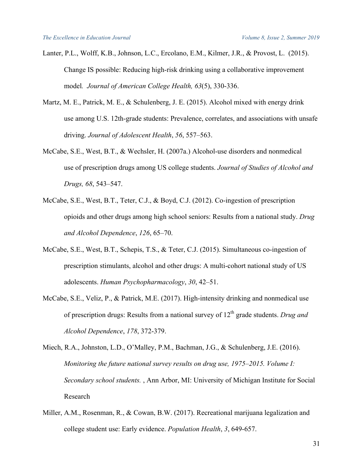- Lanter, P.L., Wolff, K.B., Johnson, L.C., Ercolano, E.M., Kilmer, J.R., & Provost, L. (2015). Change IS possible: Reducing high-risk drinking using a collaborative improvement model*. Journal of American College Health, 63*(5), 330-336.
- Martz, M. E., Patrick, M. E., & Schulenberg, J. E. (2015). Alcohol mixed with energy drink use among U.S. 12th-grade students: Prevalence, correlates, and associations with unsafe driving. *Journal of Adolescent Health*, *56*, 557–563.
- McCabe, S.E., West, B.T., & Wechsler, H. (2007a.) Alcohol-use disorders and nonmedical use of prescription drugs among US college students. *Journal of Studies of Alcohol and Drugs, 68*, 543–547.
- McCabe, S.E., West, B.T., Teter, C.J., & Boyd, C.J. (2012). Co-ingestion of prescription opioids and other drugs among high school seniors: Results from a national study. *Drug and Alcohol Dependence*, *126*, 65–70.
- McCabe, S.E., West, B.T., Schepis, T.S., & Teter, C.J. (2015). Simultaneous co-ingestion of prescription stimulants, alcohol and other drugs: A multi-cohort national study of US adolescents. *Human Psychopharmacology*, *30*, 42–51.
- McCabe, S.E., Veliz, P., & Patrick, M.E. (2017). High-intensity drinking and nonmedical use of prescription drugs: Results from a national survey of 12<sup>th</sup> grade students. *Drug and Alcohol Dependence*, *178*, 372-379.
- Miech, R.A., Johnston, L.D., O'Malley, P.M., Bachman, J.G., & Schulenberg, J.E. (2016). *Monitoring the future national survey results on drug use, 1975–2015. Volume I: Secondary school students.* , Ann Arbor, MI: University of Michigan Institute for Social Research
- Miller, A.M., Rosenman, R., & Cowan, B.W. (2017). Recreational marijuana legalization and college student use: Early evidence. *Population Health*, *3*, 649-657.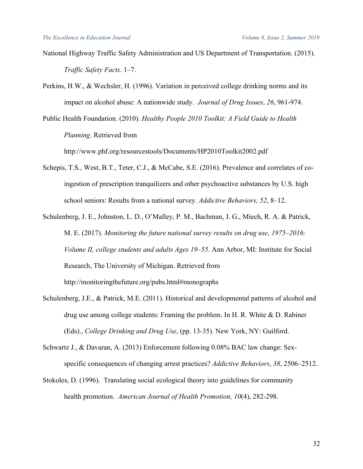- National Highway Traffic Safety Administration and US Department of Transportation. (2015). *Traffic Safety Facts*. 1–7.
- Perkins, H.W., & Wechsler, H. (1996). Variation in perceived college drinking norms and its impact on alcohol abuse: A nationwide study. *Journal of Drug Issues*, *26*, 961-974.
- Public Health Foundation. (2010). *Healthy People 2010 Toolkit: A Field Guide to Health Planning.* Retrieved from

http://www.phf.org/resourcestools/Documents/HP2010Toolkit2002.pdf

- Schepis, T.S., West, B.T., Teter, C.J., & McCabe, S.E. (2016). Prevalence and correlates of coingestion of prescription tranquilizers and other psychoactive substances by U.S. high school seniors: Results from a national survey. *Addictive Behaviors, 52*, 8–12.
- Schulenberg, J. E., Johnston, L. D., O'Malley, P. M., Bachman, J. G., Miech, R. A. & Patrick, M. E. (2017). *Monitoring the future national survey results on drug use, 1975–2016: Volume II, college students and adults Ages 19–55*. Ann Arbor, MI: Institute for Social Research, The University of Michigan. Retrieved from http://monitoringthefuture.org/pubs.html#monographs
- Schulenberg, J.E., & Patrick, M.E. (2011). Historical and developmental patterns of alcohol and drug use among college students: Framing the problem. In H. R. White & D. Rabiner (Eds)., *College Drinking and Drug Use*, (pp. 13-35). New York, NY: Guilford.
- Schwartz J., & Davaran, A. (2013) Enforcement following 0.08% BAC law change: Sexspecific consequences of changing arrest practices? *Addictive Behaviors*, *38*, 2506–2512.
- Stokoles, D. (1996). Translating social ecological theory into guidelines for community health promotion. *American Journal of Health Promotion, 10*(4), 282-298.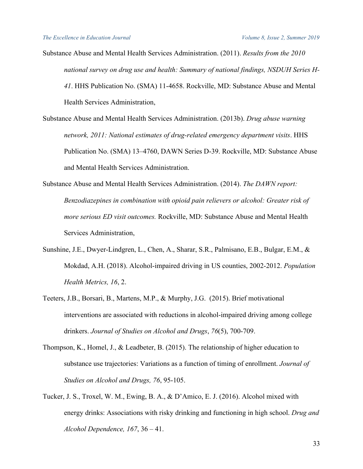Substance Abuse and Mental Health Services Administration. (2011). *Results from the 2010 national survey on drug use and health: Summary of national findings, NSDUH Series H-41*. HHS Publication No. (SMA) 11-4658. Rockville, MD: Substance Abuse and Mental Health Services Administration,

Substance Abuse and Mental Health Services Administration. (2013b). *Drug abuse warning network, 2011: National estimates of drug-related emergency department visits*. HHS Publication No. (SMA) 13–4760, DAWN Series D-39. Rockville, MD: Substance Abuse and Mental Health Services Administration.

- Substance Abuse and Mental Health Services Administration. (2014). *The DAWN report: Benzodiazepines in combination with opioid pain relievers or alcohol: Greater risk of more serious ED visit outcomes.* Rockville, MD: Substance Abuse and Mental Health Services Administration,
- Sunshine, J.E., Dwyer-Lindgren, L., Chen, A., Sharar, S.R., Palmisano, E.B., Bulgar, E.M., & Mokdad, A.H. (2018). Alcohol-impaired driving in US counties, 2002-2012. *Population Health Metrics, 16*, 2.
- Teeters, J.B., Borsari, B., Martens, M.P., & Murphy, J.G. (2015). Brief motivational interventions are associated with reductions in alcohol-impaired driving among college drinkers. *Journal of Studies on Alcohol and Drugs*, *76*(5), 700-709.
- Thompson, K., Homel, J., & Leadbeter, B. (2015). The relationship of higher education to substance use trajectories: Variations as a function of timing of enrollment. *Journal of Studies on Alcohol and Drugs, 76*, 95-105.
- Tucker, J. S., Troxel, W. M., Ewing, B. A., & D'Amico, E. J. (2016). Alcohol mixed with energy drinks: Associations with risky drinking and functioning in high school. *Drug and Alcohol Dependence, 167*, 36 – 41.